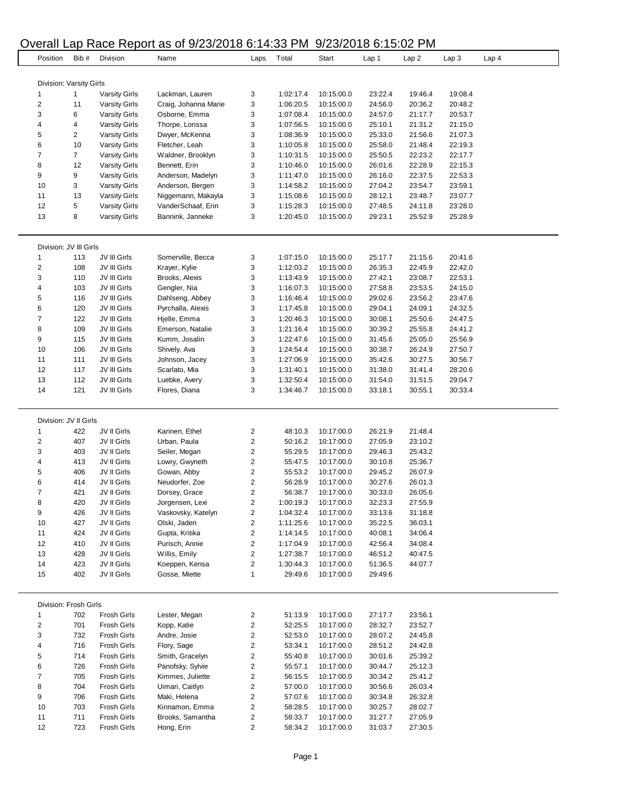## Overall Lap Race Report as of 9/23/2018 6:14:33 PM 9/23/2018 6:15:02 PM

|                          |                | <b>INGULA</b> INCIDENT |                      |                         | .         | ∠∪∠∪ ⊥     | ັ<br>◡. ៶◡.◡∠ | .                |                  |                  |
|--------------------------|----------------|------------------------|----------------------|-------------------------|-----------|------------|---------------|------------------|------------------|------------------|
| Position                 | Bib#           | Division               | Name                 | Laps                    | Total     | Start      | Lap 1         | Lap <sub>2</sub> | Lap <sub>3</sub> | Lap <sub>4</sub> |
|                          |                |                        |                      |                         |           |            |               |                  |                  |                  |
|                          |                |                        |                      |                         |           |            |               |                  |                  |                  |
| Division: Varsity Girls  |                |                        |                      |                         |           |            |               |                  |                  |                  |
| $\mathbf{1}$             | $\mathbf{1}$   | <b>Varsity Girls</b>   | Lackman, Lauren      | 3                       | 1:02:17.4 | 10:15:00.0 | 23:22.4       | 19:46.4          | 19:08.4          |                  |
| $\overline{\mathbf{c}}$  | 11             | <b>Varsity Girls</b>   | Craig, Johanna Marie | 3                       | 1:06:20.5 | 10:15:00.0 | 24:56.0       | 20:36.2          | 20:48.2          |                  |
| 3                        | 6              | <b>Varsity Girls</b>   | Osborne, Emma        | 3                       | 1:07:08.4 | 10:15:00.0 | 24:57.0       | 21:17.7          | 20:53.7          |                  |
| 4                        | 4              | <b>Varsity Girls</b>   | Thorpe, Lorissa      | 3                       | 1:07:56.5 | 10:15:00.0 | 25:10.1       | 21:31.2          | 21:15.0          |                  |
| 5                        | $\overline{c}$ | <b>Varsity Girls</b>   | Dwyer, McKenna       | 3                       | 1:08:36.9 | 10:15:00.0 | 25:33.0       | 21:56.6          | 21:07.3          |                  |
| 6                        | 10             | <b>Varsity Girls</b>   | Fletcher, Leah       | 3                       | 1:10:05.8 | 10:15:00.0 | 25:58.0       | 21:48.4          | 22:19.3          |                  |
| $\overline{7}$           | $\overline{7}$ | <b>Varsity Girls</b>   | Waldner, Brooklyn    | 3                       | 1:10:31.5 | 10:15:00.0 | 25:50.5       | 22:23.2          | 22:17.7          |                  |
| 8                        | 12             | <b>Varsity Girls</b>   | Bennett, Erin        | 3                       | 1:10:46.0 | 10:15:00.0 | 26:01.6       | 22:28.9          | 22:15.3          |                  |
| 9                        | 9              |                        | Anderson, Madelyn    |                         |           |            |               | 22:37.5          |                  |                  |
|                          |                | <b>Varsity Girls</b>   |                      | 3                       | 1:11:47.0 | 10:15:00.0 | 26:16.0       |                  | 22:53.3          |                  |
| 10                       | 3              | <b>Varsity Girls</b>   | Anderson, Bergen     | 3                       | 1:14:58.2 | 10:15:00.0 | 27:04.2       | 23:54.7          | 23:59.1          |                  |
| 11                       | 13             | <b>Varsity Girls</b>   | Niggemann, Makayla   | 3                       | 1:15:08.6 | 10:15:00.0 | 28:12.1       | 23:48.7          | 23:07.7          |                  |
| 12                       | 5              | <b>Varsity Girls</b>   | VanderSchaaf, Erin   | 3                       | 1:15:28.3 | 10:15:00.0 | 27:48.5       | 24:11.8          | 23:28.0          |                  |
| 13                       | 8              | <b>Varsity Girls</b>   | Bannink, Janneke     | 3                       | 1:20:45.0 | 10:15:00.0 | 29:23.1       | 25:52.9          | 25:28.9          |                  |
|                          |                |                        |                      |                         |           |            |               |                  |                  |                  |
| Division: JV III Girls   |                |                        |                      |                         |           |            |               |                  |                  |                  |
| $\mathbf{1}$             | 113            | JV III Girls           | Somerville, Becca    | 3                       | 1:07:15.0 | 10:15:00.0 | 25:17.7       | 21:15.6          | 20:41.6          |                  |
| $\overline{\mathbf{c}}$  | 108            | JV III Girls           | Krayer, Kylie        | 3                       | 1:12:03.2 | 10:15:00.0 | 26:35.3       | 22:45.9          | 22:42.0          |                  |
| 3                        | 110            | JV III Girls           | Brooks, Alexis       | 3                       | 1:13:43.9 | 10:15:00.0 | 27:42.1       | 23:08.7          | 22:53.1          |                  |
| 4                        | 103            | JV III Girls           | Gengler, Nia         | 3                       | 1:16:07.3 | 10:15:00.0 | 27:58.8       | 23:53.5          | 24:15.0          |                  |
| 5                        | 116            | JV III Girls           | Dahlseng, Abbey      | 3                       | 1:16:46.4 | 10:15:00.0 | 29:02.6       | 23:56.2          | 23:47.6          |                  |
| 6                        | 120            | JV III Girls           | Pyrchalla, Alexis    | 3                       | 1:17:45.8 | 10:15:00.0 | 29:04.1       | 24:09.1          | 24:32.5          |                  |
| $\overline{7}$           | 122            | JV III Girls           | Hjelle, Emma         | 3                       | 1:20:46.3 | 10:15:00.0 | 30:08.1       | 25:50.6          | 24:47.5          |                  |
|                          |                |                        |                      |                         |           |            |               |                  |                  |                  |
| 8                        | 109            | JV III Girls           | Emerson, Natalie     | 3                       | 1:21:16.4 | 10:15:00.0 | 30:39.2       | 25:55.8          | 24:41.2          |                  |
| 9                        | 115            | JV III Girls           | Kumm, Josalin        | 3                       | 1:22:47.6 | 10:15:00.0 | 31:45.6       | 25:05.0          | 25:56.9          |                  |
| 10                       | 106            | JV III Girls           | Shively, Ava         | 3                       | 1:24:54.4 | 10:15:00.0 | 30:38.7       | 26:24.9          | 27:50.7          |                  |
| 11                       | 111            | JV III Girls           | Johnson, Jacey       | 3                       | 1:27:06.9 | 10:15:00.0 | 35:42.6       | 30:27.5          | 30:56.7          |                  |
| 12                       | 117            | JV III Girls           | Scarlato, Mia        | 3                       | 1:31:40.1 | 10:15:00.0 | 31:38.0       | 31:41.4          | 28:20.6          |                  |
| 13                       | 112            | JV III Girls           | Luebke, Avery        | 3                       | 1:32:50.4 | 10:15:00.0 | 31:54.0       | 31:51.5          | 29:04.7          |                  |
| 14                       | 121            | JV III Girls           | Flores, Diana        | 3                       | 1:34:46.7 | 10:15:00.0 | 33:18.1       | 30:55.1          | 30:33.4          |                  |
|                          |                |                        |                      |                         |           |            |               |                  |                  |                  |
|                          |                |                        |                      |                         |           |            |               |                  |                  |                  |
| Division: JV II Girls    |                |                        |                      |                         |           |            |               |                  |                  |                  |
| 1                        | 422            | JV II Girls            | Karinen, Ethel       | $\overline{\mathbf{c}}$ | 48:10.3   | 10:17:00.0 | 26:21.9       | 21:48.4          |                  |                  |
| $\overline{\mathbf{c}}$  | 407            | JV II Girls            | Urban, Paula         | $\overline{c}$          | 50:16.2   | 10:17:00.0 | 27:05.9       | 23:10.2          |                  |                  |
| 3                        |                |                        |                      |                         |           |            |               |                  |                  |                  |
|                          | 403            | JV II Girls            | Seiler, Megan        | $\overline{\mathbf{c}}$ | 55:29.5   | 10:17:00.0 | 29:46.3       | 25:43.2          |                  |                  |
| 4                        | 413            | JV II Girls            | Lowry, Gwyneth       | $\overline{\mathbf{c}}$ | 55:47.5   | 10:17:00.0 | 30:10.8       | 25:36.7          |                  |                  |
| 5                        | 406            | JV II Girls            | Gowan, Abby          | $\overline{\mathbf{c}}$ | 55:53.2   | 10:17:00.0 | 29:45.2       | 26:07.9          |                  |                  |
| 6                        | 414            | JV II Girls            | Neudorfer, Zoe       | $\overline{\mathbf{c}}$ | 56:28.9   | 10:17:00.0 | 30:27.6       | 26:01.3          |                  |                  |
| $\overline{7}$           | 421            | JV II Girls            | Dorsey, Grace        | $\overline{\mathbf{c}}$ | 56:38.7   | 10:17:00.0 | 30:33.0       | 26:05.6          |                  |                  |
| 8                        | 420            | JV II Girls            | Jorgensen, Lexi      | 2                       | 1:00:19.3 | 10:17:00.0 | 32:23.3       | 27:55.9          |                  |                  |
| 9                        | 426            | JV II Girls            | Vaskovsky, Katelyn   | 2                       | 1:04:32.4 | 10:17:00.0 | 33:13.6       | 31:18.8          |                  |                  |
| 10                       | 427            | JV II Girls            | Olski, Jaden         | 2                       | 1:11:25.6 | 10:17:00.0 | 35:22.5       | 36:03.1          |                  |                  |
| 11                       | 424            | JV II Girls            | Gupta, Kritika       | $\overline{\mathbf{c}}$ | 1:14:14.5 | 10:17:00.0 | 40:08.1       | 34:06.4          |                  |                  |
| 12                       |                |                        |                      |                         | 1:17:04.9 |            |               |                  |                  |                  |
|                          | 410            | JV II Girls            | Purisch, Annie       | 2                       |           | 10:17:00.0 | 42:56.4       | 34:08.4          |                  |                  |
| 13                       | 428            | JV II Girls            | Willis, Emily        | 2                       | 1:27:38.7 | 10:17:00.0 | 46:51.2       | 40:47.5          |                  |                  |
| 14                       | 423            | JV II Girls            | Koeppen, Kensa       | 2                       | 1:30:44.3 | 10:17:00.0 | 51:36.5       | 44:07.7          |                  |                  |
| 15                       | 402            | JV II Girls            | Gosse, Miette        | $\mathbf{1}$            | 29:49.6   | 10:17:00.0 | 29:49.6       |                  |                  |                  |
|                          |                |                        |                      |                         |           |            |               |                  |                  |                  |
| Division: Frosh Girls    |                |                        |                      |                         |           |            |               |                  |                  |                  |
| 1                        | 702            | <b>Frosh Girls</b>     | Lester, Megan        | $\overline{\mathbf{c}}$ | 51:13.9   | 10:17:00.0 | 27:17.7       | 23:56.1          |                  |                  |
| 2                        | 701            | <b>Frosh Girls</b>     | Kopp, Katie          | 2                       | 52:25.5   | 10:17:00.0 | 28:32.7       | 23:52.7          |                  |                  |
| 3                        | 732            | <b>Frosh Girls</b>     | Andre, Josie         | $\boldsymbol{2}$        | 52:53.0   | 10:17:00.0 | 28:07.2       | 24:45.8          |                  |                  |
| 4                        | 716            | <b>Frosh Girls</b>     | Flory, Sage          | $\overline{\mathbf{c}}$ | 53:34.1   | 10:17:00.0 | 28:51.2       | 24:42.8          |                  |                  |
| 5                        | 714            | <b>Frosh Girls</b>     | Smith, Gracelyn      | 2                       | 55:40.8   | 10:17:00.0 | 30:01.6       | 25:39.2          |                  |                  |
| 6                        | 726            | <b>Frosh Girls</b>     | Panofsky, Sylvie     | $\overline{\mathbf{c}}$ | 55:57.1   | 10:17:00.0 | 30:44.7       | 25:12.3          |                  |                  |
| $\overline{\mathcal{I}}$ | 705            | <b>Frosh Girls</b>     | Kimmes, Juliette     | $\boldsymbol{2}$        | 56:15.5   | 10:17:00.0 | 30:34.2       | 25:41.2          |                  |                  |
|                          |                |                        |                      |                         |           |            |               |                  |                  |                  |
| 8                        | 704            | <b>Frosh Girls</b>     | Uimari, Caitlyn      | 2                       | 57:00.0   | 10:17:00.0 | 30:56.6       | 26:03.4          |                  |                  |
| 9                        | 706            | <b>Frosh Girls</b>     | Maki, Helena         | $\overline{\mathbf{c}}$ | 57:07.6   | 10:17:00.0 | 30:34.8       | 26:32.8          |                  |                  |
| 10                       | 703            | <b>Frosh Girls</b>     | Kinnamon, Emma       | $\boldsymbol{2}$        | 58:28.5   | 10:17:00.0 | 30:25.7       | 28:02.7          |                  |                  |
| 11                       | 711            | <b>Frosh Girls</b>     | Brooks, Samantha     | $\overline{\mathbf{c}}$ | 58:33.7   | 10:17:00.0 | 31:27.7       | 27:05.9          |                  |                  |
|                          |                |                        |                      | 2                       | 58:34.2   | 10:17:00.0 | 31:03.7       | 27:30.5          |                  |                  |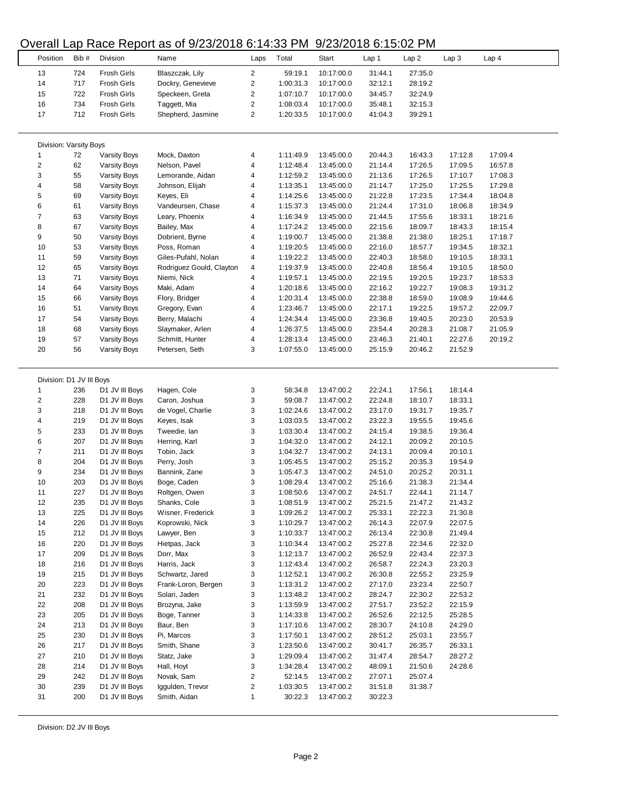#### Overall Lap Race Report as of 9/23/2018 6:14:33 PM 9/23/2018 6:15:02 PM

|                          |      |                     | <b>POTOM EXP ROOD ROPORT QU'UL ULLUID DE RINGUI INF</b> |                         |           | 0.2012010000001 |         |         |         |                  |
|--------------------------|------|---------------------|---------------------------------------------------------|-------------------------|-----------|-----------------|---------|---------|---------|------------------|
| Position                 | Bib# | Division            | Name                                                    | Laps                    | Total     | Start           | Lap 1   | Lap 2   | Lap 3   | Lap <sub>4</sub> |
|                          |      |                     |                                                         |                         |           |                 |         |         |         |                  |
| 13                       | 724  | Frosh Girls         | Blaszczak, Lily                                         | 2                       | 59:19.1   | 10:17:00.0      | 31:44.1 | 27:35.0 |         |                  |
| 14                       | 717  | Frosh Girls         | Dockry, Genevieve                                       | 2                       | 1:00:31.3 | 10:17:00.0      | 32:12.1 | 28:19.2 |         |                  |
| 15                       | 722  | Frosh Girls         | Speckeen, Greta                                         | $\overline{\mathbf{c}}$ | 1:07:10.7 | 10:17:00.0      | 34:45.7 | 32:24.9 |         |                  |
| 16                       | 734  | <b>Frosh Girls</b>  | Taggett, Mia                                            | $\overline{\mathbf{c}}$ | 1:08:03.4 | 10:17:00.0      | 35:48.1 | 32:15.3 |         |                  |
| 17                       | 712  | Frosh Girls         | Shepherd, Jasmine                                       | 2                       | 1:20:33.5 | 10:17:00.0      | 41:04.3 | 39:29.1 |         |                  |
|                          |      |                     |                                                         |                         |           |                 |         |         |         |                  |
|                          |      |                     |                                                         |                         |           |                 |         |         |         |                  |
| Division: Varsity Boys   |      |                     |                                                         |                         |           |                 |         |         |         |                  |
| 1                        | 72   | <b>Varsity Boys</b> | Mock, Daxton                                            | 4                       | 1:11:49.9 | 13:45:00.0      | 20:44.3 | 16:43.3 | 17:12.8 | 17:09.4          |
| 2                        | 62   | Varsity Boys        | Nelson, Pavel                                           | 4                       | 1:12:48.4 | 13:45:00.0      | 21:14.4 | 17:26.5 | 17:09.5 | 16:57.8          |
| 3                        | 55   |                     |                                                         |                         |           |                 |         |         |         |                  |
|                          |      | Varsity Boys        | Lemorande, Aidan                                        | 4                       | 1:12:59.2 | 13:45:00.0      | 21:13.6 | 17:26.5 | 17:10.7 | 17:08.3          |
| 4                        | 58   | Varsity Boys        | Johnson, Elijah                                         | 4                       | 1:13:35.1 | 13:45:00.0      | 21:14.7 | 17:25.0 | 17:25.5 | 17:29.8          |
| 5                        | 69   | <b>Varsity Boys</b> | Keyes, Eli                                              | 4                       | 1:14:25.6 | 13:45:00.0      | 21:22.8 | 17:23.5 | 17:34.4 | 18:04.8          |
| 6                        | 61   | Varsity Boys        | Vandeursen, Chase                                       | 4                       | 1:15:37.3 | 13:45:00.0      | 21:24.4 | 17:31.0 | 18:06.8 | 18:34.9          |
| $\overline{\mathcal{I}}$ | 63   | Varsity Boys        | Leary, Phoenix                                          | 4                       | 1:16:34.9 | 13:45:00.0      | 21:44.5 | 17:55.6 | 18:33.1 | 18:21.6          |
| 8                        | 67   | Varsity Boys        | Bailey, Max                                             | 4                       | 1:17:24.2 | 13:45:00.0      | 22:15.6 | 18:09.7 | 18:43.3 | 18:15.4          |
| 9                        | 50   | <b>Varsity Boys</b> | Dobrient, Byrne                                         | 4                       | 1:19:00.7 | 13:45:00.0      | 21:38.8 | 21:38.0 | 18:25.1 | 17:18.7          |
| 10                       | 53   | <b>Varsity Boys</b> | Poss, Roman                                             | 4                       | 1:19:20.5 | 13:45:00.0      | 22:16.0 | 18:57.7 | 19:34.5 | 18:32.1          |
| 11                       | 59   | <b>Varsity Boys</b> | Giles-Pufahl, Nolan                                     | 4                       | 1:19:22.2 | 13:45:00.0      | 22:40.3 | 18:58.0 | 19:10.5 | 18:33.1          |
| 12                       | 65   | <b>Varsity Boys</b> | Rodriguez Gould, Clayton                                | 4                       | 1:19:37.9 | 13:45:00.0      | 22:40.8 | 18:56.4 | 19:10.5 | 18:50.0          |
| 13                       | 71   | Varsity Boys        | Niemi, Nick                                             | 4                       | 1:19:57.1 | 13:45:00.0      | 22:19.5 | 19:20.5 | 19:23.7 | 18:53.3          |
| 14                       | 64   | <b>Varsity Boys</b> |                                                         | 4                       | 1:20:18.6 | 13:45:00.0      | 22:16.2 | 19:22.7 | 19:08.3 | 19:31.2          |
|                          |      |                     | Maki, Adam                                              |                         |           |                 |         |         |         |                  |
| 15                       | 66   | <b>Varsity Boys</b> | Flory, Bridger                                          | 4                       | 1:20:31.4 | 13:45:00.0      | 22:38.8 | 18:59.0 | 19:08.9 | 19:44.6          |
| 16                       | 51   | <b>Varsity Boys</b> | Gregory, Evan                                           | 4                       | 1:23:46.7 | 13:45:00.0      | 22:17.1 | 19:22.5 | 19:57.2 | 22:09.7          |
| 17                       | 54   | <b>Varsity Boys</b> | Berry, Malachi                                          | 4                       | 1:24:34.4 | 13:45:00.0      | 23:36.8 | 19:40.5 | 20:23.0 | 20:53.9          |
| 18                       | 68   | <b>Varsity Boys</b> | Slaymaker, Arlen                                        | 4                       | 1:26:37.5 | 13:45:00.0      | 23:54.4 | 20:28.3 | 21:08.7 | 21:05.9          |
| 19                       | 57   | <b>Varsity Boys</b> | Schmitt, Hunter                                         | 4                       | 1:28:13.4 | 13:45:00.0      | 23:46.3 | 21:40.1 | 22:27.6 | 20:19.2          |
| 20                       | 56   | <b>Varsity Boys</b> | Petersen, Seth                                          | 3                       | 1:07:55.0 | 13:45:00.0      | 25:15.9 | 20:46.2 | 21:52.9 |                  |
|                          |      |                     |                                                         |                         |           |                 |         |         |         |                  |
|                          |      |                     |                                                         |                         |           |                 |         |         |         |                  |
| Division: D1 JV III Boys |      |                     |                                                         |                         |           |                 |         |         |         |                  |
| -1                       | 236  | D1 JV III Boys      | Hagen, Cole                                             | 3                       | 58:34.8   | 13:47:00.2      | 22:24.1 | 17:56.1 | 18:14.4 |                  |
| $\overline{\mathbf{c}}$  | 228  | D1 JV III Boys      | Caron, Joshua                                           | 3                       | 59:08.7   | 13:47:00.2      | 22:24.8 | 18:10.7 | 18:33.1 |                  |
| 3                        | 218  |                     | de Vogel, Charlie                                       |                         | 1:02:24.6 |                 |         |         |         |                  |
|                          |      | D1 JV III Boys      |                                                         | 3                       |           | 13:47:00.2      | 23:17.0 | 19:31.7 | 19:35.7 |                  |
| 4                        | 219  | D1 JV III Boys      | Keyes, Isak                                             | 3                       | 1:03:03.5 | 13:47:00.2      | 23:22.3 | 19:55.5 | 19:45.6 |                  |
| 5                        | 233  | D1 JV III Boys      | Tweedie, lan                                            | 3                       | 1:03:30.4 | 13:47:00.2      | 24:15.4 | 19:38.5 | 19:36.4 |                  |
| 6                        | 207  | D1 JV III Boys      | Herring, Karl                                           | 3                       | 1:04:32.0 | 13:47:00.2      | 24:12.1 | 20:09.2 | 20:10.5 |                  |
| 7                        | 211  | D1 JV III Boys      | Tobin, Jack                                             | 3                       | 1:04:32.7 | 13:47:00.2      | 24:13.1 | 20:09.4 | 20:10.1 |                  |
| 8                        | 204  | D1 JV III Boys      | Perry, Josh                                             | 3                       | 1:05:45.5 | 13:47:00.2      | 25:15.2 | 20:35.3 | 19:54.9 |                  |
| 9                        | 234  | D1 JV III Boys      | Bannink, Zane                                           | 3                       | 1:05:47.3 | 13:47:00.2      | 24:51.0 | 20:25.2 | 20:31.1 |                  |
| 10                       | 203  | D1 JV III Boys      | Boge, Caden                                             | 3                       | 1:08:29.4 | 13:47:00.2      | 25:16.6 | 21:38.3 | 21:34.4 |                  |
| 11                       | 227  | D1 JV III Boys      | Roltgen, Owen                                           | 3                       | 1:08:50.6 | 13:47:00.2      | 24:51.7 | 22:44.1 | 21:14.7 |                  |
| 12                       | 235  | D1 JV III Boys      | Shanks, Cole                                            | 3                       | 1:08:51.9 | 13:47:00.2      | 25:21.5 | 21:47.2 | 21:43.2 |                  |
| 13                       | 225  | D1 JV III Boys      | Wisner, Frederick                                       | 3                       | 1:09:26.2 | 13:47:00.2      | 25:33.1 | 22:22.3 | 21:30.8 |                  |
| 14                       | 226  | D1 JV III Boys      | Koprowski, Nick                                         | 3                       | 1:10:29.7 | 13:47:00.2      | 26:14.3 | 22:07.9 | 22:07.5 |                  |
|                          |      |                     |                                                         |                         |           |                 |         |         |         |                  |
| 15                       | 212  | D1 JV III Boys      | Lawyer, Ben                                             | 3                       | 1:10:33.7 | 13:47:00.2      | 26:13.4 | 22:30.8 | 21:49.4 |                  |
| 16                       | 220  | D1 JV III Boys      | Hietpas, Jack                                           | 3                       | 1:10:34.4 | 13:47:00.2      | 25:27.8 | 22:34.6 | 22:32.0 |                  |
| 17                       | 209  | D1 JV III Boys      | Dorr, Max                                               | 3                       | 1:12:13.7 | 13:47:00.2      | 26:52.9 | 22:43.4 | 22:37.3 |                  |
| 18                       | 216  | D1 JV III Boys      | Harris, Jack                                            | 3                       | 1:12:43.4 | 13:47:00.2      | 26:58.7 | 22:24.3 | 23:20.3 |                  |
| 19                       | 215  | D1 JV III Boys      | Schwartz, Jared                                         | 3                       | 1:12:52.1 | 13:47:00.2      | 26:30.8 | 22:55.2 | 23:25.9 |                  |
| 20                       | 223  | D1 JV III Boys      | Frank-Loron, Bergen                                     | 3                       | 1:13:31.2 | 13:47:00.2      | 27:17.0 | 23:23.4 | 22:50.7 |                  |
| 21                       | 232  | D1 JV III Boys      | Solari, Jaden                                           | 3                       | 1:13:48.2 | 13:47:00.2      | 28:24.7 | 22:30.2 | 22:53.2 |                  |
| 22                       | 208  | D1 JV III Boys      | Brozyna, Jake                                           | 3                       | 1:13:59.9 | 13:47:00.2      | 27:51.7 | 23:52.2 | 22:15.9 |                  |
| 23                       | 205  | D1 JV III Boys      | Boge, Tanner                                            | 3                       | 1:14:33.8 | 13:47:00.2      | 26:52.6 | 22:12.5 | 25:28.5 |                  |
| 24                       | 213  | D1 JV III Boys      | Baur, Ben                                               | 3                       | 1:17:10.6 | 13:47:00.2      | 28:30.7 | 24:10.8 | 24:29.0 |                  |
| 25                       | 230  | D1 JV III Boys      | Pi, Marcos                                              | 3                       | 1:17:50.1 | 13:47:00.2      | 28:51.2 | 25:03.1 | 23:55.7 |                  |
|                          |      |                     |                                                         |                         |           |                 |         |         |         |                  |
| 26                       | 217  | D1 JV III Boys      | Smith, Shane                                            | 3                       | 1:23:50.6 | 13:47:00.2      | 30:41.7 | 26:35.7 | 26:33.1 |                  |
| 27                       | 210  | D1 JV III Boys      | Statz, Jake                                             | 3                       | 1:29:09.4 | 13:47:00.2      | 31:47.4 | 28:54.7 | 28:27.2 |                  |
| 28                       | 214  | D1 JV III Boys      | Hall, Hoyt                                              | 3                       | 1:34:28.4 | 13:47:00.2      | 48:09.1 | 21:50.6 | 24:28.6 |                  |
| 29                       | 242  | D1 JV III Boys      | Novak, Sam                                              | 2                       | 52:14.5   | 13:47:00.2      | 27:07.1 | 25:07.4 |         |                  |
| 30                       | 239  | D1 JV III Boys      | Iggulden, Trevor                                        | 2                       | 1:03:30.5 | 13:47:00.2      | 31:51.8 | 31:38.7 |         |                  |
| 31                       | 200  | D1 JV III Boys      | Smith, Aidan                                            | $\mathbf{1}$            | 30:22.3   | 13:47:00.2      | 30:22.3 |         |         |                  |
|                          |      |                     |                                                         |                         |           |                 |         |         |         |                  |

Division: D2 JV III Boys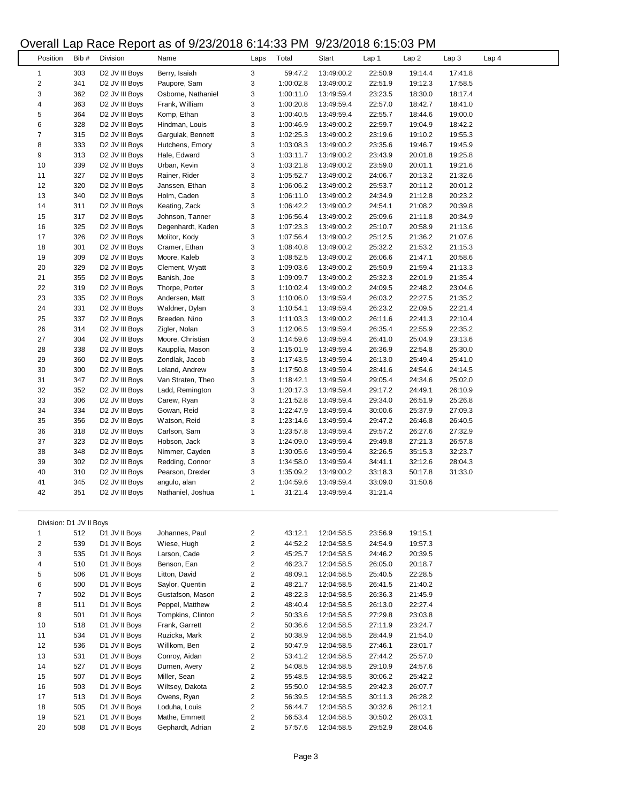#### Overall Lap Race Report as of 9/23/2018 6:14:33 PM 9/23/2018 6:15:03 PM

|                         |            |                            | ap 1,000 Hopolt as si sizoizo io si i 1.00 i ili |                         |                        | $0.401$ $-0.100$ $-0.100$ $-0.101$ |                    |                    |                    |                  |
|-------------------------|------------|----------------------------|--------------------------------------------------|-------------------------|------------------------|------------------------------------|--------------------|--------------------|--------------------|------------------|
| Position                | Bib#       | Division                   | Name                                             | Laps                    | Total                  | Start                              | Lap 1              | Lap2               | Lap <sub>3</sub>   | Lap <sub>4</sub> |
| $\mathbf{1}$            | 303        | D2 JV III Boys             | Berry, Isaiah                                    | 3                       | 59:47.2                | 13:49:00.2                         | 22:50.9            | 19:14.4            | 17:41.8            |                  |
| $\overline{\mathbf{c}}$ | 341        | D <sub>2</sub> JV III Boys | Paupore, Sam                                     | 3                       | 1:00:02.8              | 13:49:00.2                         | 22:51.9            | 19:12.3            | 17:58.5            |                  |
| 3                       | 362        | D2 JV III Boys             | Osborne, Nathaniel                               | 3                       | 1:00:11.0              | 13:49:59.4                         | 23:23.5            | 18:30.0            | 18:17.4            |                  |
| 4                       | 363        | D <sub>2</sub> JV III Boys | Frank, William                                   | 3                       | 1:00:20.8              | 13:49:59.4                         | 22:57.0            | 18:42.7            | 18:41.0            |                  |
| 5                       | 364        | D <sub>2</sub> JV III Boys | Komp, Ethan                                      | 3                       | 1:00:40.5              | 13:49:59.4                         | 22:55.7            | 18:44.6            | 19:00.0            |                  |
| 6                       | 328        | D <sub>2</sub> JV III Boys | Hindman, Louis                                   | 3                       | 1:00:46.9              | 13:49:00.2                         | 22:59.7            | 19:04.9            | 18:42.2            |                  |
| $\overline{7}$          | 315        | D <sub>2</sub> JV III Boys | Gargulak, Bennett                                | 3                       | 1:02:25.3              | 13:49:00.2                         | 23:19.6            | 19:10.2            | 19:55.3            |                  |
| 8                       | 333        | D2 JV III Boys             | Hutchens, Emory                                  | 3                       | 1:03:08.3              | 13:49:00.2                         | 23:35.6            | 19:46.7            | 19:45.9            |                  |
| 9                       | 313        | D <sub>2</sub> JV III Boys | Hale, Edward                                     | 3                       | 1:03:11.7              | 13:49:00.2                         | 23:43.9            | 20:01.8            | 19:25.8            |                  |
| 10                      | 339        | D <sub>2</sub> JV III Boys | Urban, Kevin                                     | 3                       | 1:03:21.8              | 13:49:00.2                         | 23:59.0            | 20:01.1            | 19:21.6            |                  |
| 11                      | 327        | D2 JV III Boys             | Rainer, Rider                                    | 3                       | 1:05:52.7              | 13:49:00.2                         | 24:06.7            | 20:13.2            | 21:32.6            |                  |
| 12                      | 320        | D2 JV III Boys             | Janssen, Ethan                                   | 3                       | 1:06:06.2              | 13:49:00.2                         | 25:53.7            | 20:11.2            | 20:01.2            |                  |
| 13                      | 340        | D <sub>2</sub> JV III Boys | Holm, Caden                                      | 3                       | 1:06:11.0              | 13:49:00.2                         | 24:34.9            | 21:12.8            | 20:23.2            |                  |
| 14                      | 311        | D2 JV III Boys             | Keating, Zack                                    | 3                       | 1:06:42.2              | 13:49:00.2                         | 24:54.1            | 21:08.2            | 20:39.8            |                  |
| 15                      | 317        | D <sub>2</sub> JV III Boys | Johnson, Tanner                                  | 3                       | 1:06:56.4              | 13:49:00.2                         | 25:09.6            | 21:11.8            | 20:34.9            |                  |
| 16                      | 325        | D <sub>2</sub> JV III Boys | Degenhardt, Kaden                                | 3                       | 1:07:23.3              | 13:49:00.2                         | 25:10.7            | 20:58.9            | 21:13.6            |                  |
| 17                      | 326        | D2 JV III Boys             | Molitor, Kody                                    | 3                       | 1:07:56.4              | 13:49:00.2                         | 25:12.5            | 21:36.2            | 21:07.6            |                  |
| 18                      | 301        | D <sub>2</sub> JV III Boys | Cramer, Ethan                                    | 3                       | 1:08:40.8              | 13:49:00.2                         | 25:32.2            | 21:53.2            | 21:15.3            |                  |
| 19                      | 309        | D2 JV III Boys             | Moore, Kaleb                                     | 3                       | 1:08:52.5              | 13:49:00.2                         | 26:06.6            | 21:47.1            | 20:58.6            |                  |
| 20                      | 329        | D2 JV III Boys             | Clement, Wyatt                                   | 3                       | 1:09:03.6              | 13:49:00.2                         | 25:50.9            | 21:59.4            | 21:13.3            |                  |
| 21                      | 355        | D <sub>2</sub> JV III Boys | Banish, Joe                                      | 3                       | 1:09:09.7              | 13:49:00.2                         | 25:32.3            | 22:01.9            | 21:35.4            |                  |
| 22                      | 319        | D <sub>2</sub> JV III Boys | Thorpe, Porter                                   | 3                       | 1:10:02.4              | 13:49:00.2                         | 24:09.5            | 22:48.2            | 23:04.6            |                  |
| 23                      | 335        | D2 JV III Boys             | Andersen, Matt                                   | 3                       | 1:10:06.0              | 13:49:59.4                         | 26:03.2            | 22:27.5            | 21:35.2            |                  |
| 24                      | 331        | D2 JV III Boys             | Waldner, Dylan                                   | 3                       | 1:10:54.1              | 13:49:59.4                         | 26:23.2            | 22:09.5            | 22:21.4            |                  |
| 25                      | 337        | D <sub>2</sub> JV III Boys | Breeden, Nino                                    | 3                       | 1:11:03.3              | 13:49:00.2                         | 26:11.6            | 22:41.3            | 22:10.4            |                  |
| 26                      | 314        | D2 JV III Boys             | Zigler, Nolan                                    | 3                       | 1:12:06.5              | 13:49:59.4                         | 26:35.4            | 22:55.9            | 22:35.2            |                  |
| 27                      | 304        | D <sub>2</sub> JV III Boys | Moore, Christian                                 | 3                       | 1:14:59.6              | 13:49:59.4                         | 26:41.0            | 25:04.9            | 23:13.6            |                  |
| 28                      | 338        | D2 JV III Boys             | Kaupplia, Mason                                  | 3                       | 1:15:01.9              | 13:49:59.4                         | 26:36.9            | 22:54.8            | 25:30.0            |                  |
| 29                      | 360        | D2 JV III Boys             | Zondlak, Jacob                                   | 3                       | 1:17:43.5              | 13:49:59.4                         | 26:13.0            | 25:49.4            | 25:41.0            |                  |
| 30                      | 300        | D2 JV III Boys             | Leland, Andrew                                   | 3                       | 1:17:50.8              |                                    |                    | 24:54.6            | 24:14.5            |                  |
| 31                      |            |                            |                                                  |                         | 1:18:42.1              | 13:49:59.4                         | 28:41.6<br>29:05.4 |                    |                    |                  |
| 32                      | 347        | D2 JV III Boys             | Van Straten, Theo                                | 3                       |                        | 13:49:59.4                         | 29:17.2            | 24:34.6            | 25:02.0            |                  |
| 33                      | 352        | D2 JV III Boys             | Ladd, Remington                                  | 3                       | 1:20:17.3<br>1:21:52.8 | 13:49:59.4                         |                    | 24:49.1            | 26:10.9            |                  |
| 34                      | 306<br>334 | D2 JV III Boys             | Carew, Ryan                                      | 3<br>3                  | 1:22:47.9              | 13:49:59.4                         | 29:34.0<br>30:00.6 | 26:51.9            | 25:26.8<br>27:09.3 |                  |
| 35                      |            | D2 JV III Boys             | Gowan, Reid                                      |                         | 1:23:14.6              | 13:49:59.4<br>13:49:59.4           | 29:47.2            | 25:37.9            |                    |                  |
| 36                      | 356<br>318 | D2 JV III Boys             | Watson, Reid                                     | 3<br>3                  | 1:23:57.8              |                                    |                    | 26:46.8            | 26:40.5            |                  |
| 37                      | 323        | D <sub>2</sub> JV III Boys | Carlson, Sam<br>Hobson, Jack                     |                         | 1:24:09.0              | 13:49:59.4                         | 29:57.2            | 26:27.6<br>27:21.3 | 27:32.9<br>26:57.8 |                  |
|                         |            | D2 JV III Boys             | Nimmer, Cayden                                   | 3                       |                        | 13:49:59.4                         | 29:49.8            |                    |                    |                  |
| 38                      | 348        | D2 JV III Boys             |                                                  | 3                       | 1:30:05.6              | 13:49:59.4                         | 32:26.5            | 35:15.3            | 32:23.7            |                  |
| 39                      | 302        | D2 JV III Boys             | Redding, Connor                                  | 3                       | 1:34:58.0              | 13:49:59.4                         | 34:41.1            | 32:12.6            | 28:04.3            |                  |
| 40                      | 310        | D2 JV III Boys             | Pearson, Drexler                                 | 3                       | 1:35:09.2              | 13:49:00.2                         | 33:18.3            | 50:17.8            | 31:33.0            |                  |
| 41                      | 345        | D2 JV III Boys             | angulo, alan                                     | $\overline{\mathbf{c}}$ | 1:04:59.6              | 13:49:59.4                         | 33:09.0            | 31:50.6            |                    |                  |
| 42                      | 351        | D2 JV III Boys             | Nathaniel, Joshua                                | $\mathbf{1}$            | 31:21.4                | 13:49:59.4                         | 31:21.4            |                    |                    |                  |
|                         |            |                            |                                                  |                         |                        |                                    |                    |                    |                    |                  |
|                         |            |                            |                                                  |                         |                        |                                    |                    |                    |                    |                  |
| Division: D1 JV II Boys |            |                            |                                                  |                         |                        |                                    |                    |                    |                    |                  |
| $\mathbf{1}$            | 512        | D1 JV II Boys              | Johannes, Paul                                   | $\overline{\mathbf{c}}$ | 43:12.1                | 12:04:58.5                         | 23:56.9            | 19:15.1            |                    |                  |
| $\overline{\mathbf{c}}$ | 539        | D1 JV II Boys              | Wiese, Hugh                                      | $\overline{\mathbf{c}}$ | 44:52.2                | 12:04:58.5                         | 24:54.9            | 19:57.3            |                    |                  |
| 3                       | 535        | D1 JV II Boys              | Larson, Cade                                     | 2                       | 45:25.7                | 12:04:58.5                         | 24:46.2            | 20:39.5            |                    |                  |
| 4                       | 510        | D1 JV II Boys              | Benson, Ean                                      | 2                       | 46:23.7                | 12:04:58.5                         | 26:05.0            | 20:18.7            |                    |                  |
| 5                       | 506        | D1 JV II Boys              | Litton, David                                    | $\overline{\mathbf{c}}$ | 48:09.1                | 12:04:58.5                         | 25:40.5            | 22:28.5            |                    |                  |
| 6                       | 500        | D1 JV II Boys              | Saylor, Quentin                                  | 2                       | 48:21.7                | 12:04:58.5                         | 26:41.5            | 21:40.2            |                    |                  |
| $\overline{7}$          | 502        | D1 JV II Boys              | Gustafson, Mason                                 | 2                       | 48:22.3                | 12:04:58.5                         | 26:36.3            | 21:45.9            |                    |                  |
| 8                       | 511        | D1 JV II Boys              | Peppel, Matthew                                  | $\overline{\mathbf{c}}$ | 48:40.4                | 12:04:58.5                         | 26:13.0            | 22:27.4            |                    |                  |
| 9                       | 501        | D1 JV II Boys              | Tompkins, Clinton                                | 2                       | 50:33.6                | 12:04:58.5                         | 27:29.8            | 23:03.8            |                    |                  |
| 10                      | 518        | D1 JV II Boys              | Frank, Garrett                                   | 2                       | 50:36.6                | 12:04:58.5                         | 27:11.9            | 23:24.7            |                    |                  |
| 11                      | 534        | D1 JV II Boys              | Ruzicka, Mark                                    | $\overline{\mathbf{c}}$ | 50:38.9                | 12:04:58.5                         | 28:44.9            | 21:54.0            |                    |                  |
| 12                      | 536        | D1 JV II Boys              | Willkom, Ben                                     | 2                       | 50:47.9                | 12:04:58.5                         | 27:46.1            | 23:01.7            |                    |                  |
| 13                      | 531        | D1 JV II Boys              | Conroy, Aidan                                    | 2                       | 53:41.2                | 12:04:58.5                         | 27:44.2            | 25:57.0            |                    |                  |
| 14                      | 527        | D1 JV II Boys              | Durnen, Avery                                    | $\overline{\mathbf{c}}$ | 54:08.5                | 12:04:58.5                         | 29:10.9            | 24:57.6            |                    |                  |
| 15                      | 507        | D1 JV II Boys              | Miller, Sean                                     | 2                       | 55:48.5                | 12:04:58.5                         | 30:06.2            | 25:42.2            |                    |                  |
| 16                      | 503        | D1 JV II Boys              | Wiltsey, Dakota                                  | 2                       | 55:50.0                | 12:04:58.5                         | 29:42.3            | 26:07.7            |                    |                  |
| 17                      | 513        | D1 JV II Boys              | Owens, Ryan                                      | $\overline{\mathbf{c}}$ | 56:39.5                | 12:04:58.5                         | 30:11.3            | 26:28.2            |                    |                  |
| 18                      | 505        | D1 JV II Boys              | Loduha, Louis                                    | 2                       | 56:44.7                | 12:04:58.5                         | 30:32.6            | 26:12.1            |                    |                  |
| 19                      | 521        | D1 JV II Boys              | Mathe, Emmett                                    | 2                       | 56:53.4                | 12:04:58.5                         | 30:50.2            | 26:03.1            |                    |                  |
| 20                      | 508        | D1 JV II Boys              | Gephardt, Adrian                                 | $\overline{c}$          | 57:57.6                | 12:04:58.5                         | 29:52.9            | 28:04.6            |                    |                  |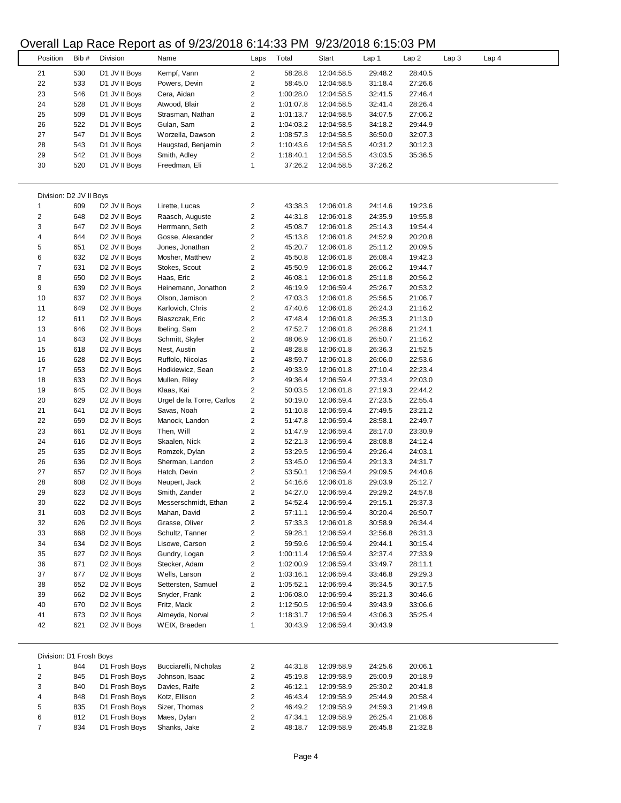### Overall Lap Race Report as of 9/23/2018 6:14:33 PM 9/23/2018 6:15:03 PM

|                         |      |                           | 20120 10 U. P.O. The Property of Section C. 14.00 T in |                         |           | <u>UILUILU IU U. IU.UU I IVI</u> |         |         |                  |                  |  |
|-------------------------|------|---------------------------|--------------------------------------------------------|-------------------------|-----------|----------------------------------|---------|---------|------------------|------------------|--|
| Position                | Bib# | Division                  | Name                                                   | Laps                    | Total     | Start                            | Lap 1   | Lap2    | Lap <sub>3</sub> | Lap <sub>4</sub> |  |
|                         |      |                           |                                                        |                         |           |                                  |         |         |                  |                  |  |
| 21                      | 530  | D1 JV II Boys             | Kempf, Vann                                            | $\overline{2}$          | 58:28.8   | 12:04:58.5                       | 29:48.2 | 28:40.5 |                  |                  |  |
| 22                      | 533  | D1 JV II Boys             | Powers, Devin                                          | 2                       | 58:45.0   | 12:04:58.5                       | 31:18.4 | 27:26.6 |                  |                  |  |
| 23                      | 546  | D1 JV II Boys             | Cera, Aidan                                            | $\overline{\mathbf{c}}$ | 1:00:28.0 | 12:04:58.5                       | 32:41.5 | 27:46.4 |                  |                  |  |
| 24                      | 528  | D1 JV II Boys             | Atwood, Blair                                          | $\overline{\mathbf{c}}$ | 1:01:07.8 | 12:04:58.5                       | 32:41.4 | 28:26.4 |                  |                  |  |
| 25                      | 509  | D1 JV II Boys             | Strasman, Nathan                                       | 2                       | 1:01:13.7 | 12:04:58.5                       | 34:07.5 | 27:06.2 |                  |                  |  |
| 26                      | 522  | D1 JV II Boys             | Gulan, Sam                                             | $\overline{\mathbf{c}}$ | 1:04:03.2 | 12:04:58.5                       | 34:18.2 | 29:44.9 |                  |                  |  |
| 27                      | 547  | D1 JV II Boys             | Worzella, Dawson                                       | $\overline{\mathbf{c}}$ | 1:08:57.3 | 12:04:58.5                       | 36:50.0 | 32:07.3 |                  |                  |  |
| 28                      | 543  | D1 JV II Boys             | Haugstad, Benjamin                                     | $\overline{\mathbf{c}}$ | 1:10:43.6 | 12:04:58.5                       | 40:31.2 | 30:12.3 |                  |                  |  |
| 29                      | 542  | D1 JV II Boys             | Smith, Adley                                           | $\overline{\mathbf{c}}$ | 1:18:40.1 | 12:04:58.5                       | 43:03.5 | 35:36.5 |                  |                  |  |
| 30                      | 520  | D1 JV II Boys             | Freedman, Eli                                          | 1                       | 37:26.2   | 12:04:58.5                       | 37:26.2 |         |                  |                  |  |
|                         |      |                           |                                                        |                         |           |                                  |         |         |                  |                  |  |
|                         |      |                           |                                                        |                         |           |                                  |         |         |                  |                  |  |
| Division: D2 JV II Boys |      |                           |                                                        |                         |           |                                  |         |         |                  |                  |  |
| 1                       | 609  | D <sub>2</sub> JV II Boys | Lirette, Lucas                                         | 2                       | 43:38.3   | 12:06:01.8                       | 24:14.6 | 19:23.6 |                  |                  |  |
| $\overline{\mathbf{c}}$ | 648  | D <sub>2</sub> JV II Boys | Raasch, Auguste                                        | $\overline{\mathbf{c}}$ | 44:31.8   | 12:06:01.8                       | 24:35.9 | 19:55.8 |                  |                  |  |
| 3                       | 647  | D <sub>2</sub> JV II Boys | Herrmann, Seth                                         | 2                       | 45:08.7   | 12:06:01.8                       | 25:14.3 | 19:54.4 |                  |                  |  |
|                         |      |                           |                                                        |                         |           |                                  |         |         |                  |                  |  |
| 4                       | 644  | D <sub>2</sub> JV II Boys | Gosse, Alexander                                       | $\overline{\mathbf{c}}$ | 45:13.8   | 12:06:01.8                       | 24:52.9 | 20:20.8 |                  |                  |  |
| 5                       | 651  | D <sub>2</sub> JV II Boys | Jones, Jonathan                                        | $\overline{\mathbf{c}}$ | 45:20.7   | 12:06:01.8                       | 25:11.2 | 20:09.5 |                  |                  |  |
| 6                       | 632  | D <sub>2</sub> JV II Boys | Mosher, Matthew                                        | $\overline{\mathbf{c}}$ | 45:50.8   | 12:06:01.8                       | 26:08.4 | 19:42.3 |                  |                  |  |
| 7                       | 631  | D <sub>2</sub> JV II Boys | Stokes, Scout                                          | $\overline{\mathbf{c}}$ | 45:50.9   | 12:06:01.8                       | 26:06.2 | 19:44.7 |                  |                  |  |
| 8                       | 650  | D <sub>2</sub> JV II Boys | Haas, Eric                                             | $\overline{\mathbf{c}}$ | 46:08.1   | 12:06:01.8                       | 25:11.8 | 20:56.2 |                  |                  |  |
| 9                       | 639  | D <sub>2</sub> JV II Boys | Heinemann, Jonathon                                    | $\overline{\mathbf{c}}$ | 46:19.9   | 12:06:59.4                       | 25:26.7 | 20:53.2 |                  |                  |  |
| 10                      | 637  | D <sub>2</sub> JV II Boys | Olson, Jamison                                         | 2                       | 47:03.3   | 12:06:01.8                       | 25:56.5 | 21:06.7 |                  |                  |  |
| 11                      | 649  | D <sub>2</sub> JV II Boys | Karlovich, Chris                                       | 2                       | 47:40.6   | 12:06:01.8                       | 26:24.3 | 21:16.2 |                  |                  |  |
| 12                      | 611  | D <sub>2</sub> JV II Boys | Blaszczak, Eric                                        | $\overline{\mathbf{c}}$ | 47:48.4   | 12:06:01.8                       | 26:35.3 | 21:13.0 |                  |                  |  |
| 13                      | 646  | D2 JV II Boys             | Ibeling, Sam                                           | $\overline{\mathbf{c}}$ | 47:52.7   | 12:06:01.8                       | 26:28.6 | 21:24.1 |                  |                  |  |
| 14                      | 643  | D2 JV II Boys             | Schmitt, Skyler                                        | 2                       | 48:06.9   | 12:06:01.8                       | 26:50.7 | 21:16.2 |                  |                  |  |
| 15                      | 618  | D <sub>2</sub> JV II Boys | Nest, Austin                                           | $\overline{\mathbf{c}}$ | 48:28.8   | 12:06:01.8                       | 26:36.3 | 21:52.5 |                  |                  |  |
|                         |      |                           |                                                        |                         |           |                                  |         |         |                  |                  |  |
| 16                      | 628  | D <sub>2</sub> JV II Boys | Ruffolo, Nicolas                                       | $\overline{\mathbf{c}}$ | 48:59.7   | 12:06:01.8                       | 26:06.0 | 22:53.6 |                  |                  |  |
| 17                      | 653  | D <sub>2</sub> JV II Boys | Hodkiewicz, Sean                                       | 2                       | 49:33.9   | 12:06:01.8                       | 27:10.4 | 22:23.4 |                  |                  |  |
| 18                      | 633  | D <sub>2</sub> JV II Boys | Mullen, Riley                                          | $\overline{\mathbf{c}}$ | 49:36.4   | 12:06:59.4                       | 27:33.4 | 22:03.0 |                  |                  |  |
| 19                      | 645  | D <sub>2</sub> JV II Boys | Klaas, Kai                                             | 2                       | 50:03.5   | 12:06:01.8                       | 27:19.3 | 22:44.2 |                  |                  |  |
| 20                      | 629  | D <sub>2</sub> JV II Boys | Urgel de la Torre, Carlos                              | $\overline{\mathbf{c}}$ | 50:19.0   | 12:06:59.4                       | 27:23.5 | 22:55.4 |                  |                  |  |
| 21                      | 641  | D2 JV II Boys             | Savas, Noah                                            | $\overline{\mathbf{c}}$ | 51:10.8   | 12:06:59.4                       | 27:49.5 | 23:21.2 |                  |                  |  |
| 22                      | 659  | D <sub>2</sub> JV II Boys | Manock, Landon                                         | 2                       | 51:47.8   | 12:06:59.4                       | 28:58.1 | 22:49.7 |                  |                  |  |
| 23                      | 661  | D <sub>2</sub> JV II Boys | Then, Will                                             | $\overline{\mathbf{c}}$ | 51:47.9   | 12:06:59.4                       | 28:17.0 | 23:30.9 |                  |                  |  |
| 24                      | 616  | D <sub>2</sub> JV II Boys | Skaalen, Nick                                          | $\overline{\mathbf{c}}$ | 52:21.3   | 12:06:59.4                       | 28:08.8 | 24:12.4 |                  |                  |  |
| 25                      | 635  | D <sub>2</sub> JV II Boys | Romzek, Dylan                                          | $\overline{\mathbf{c}}$ | 53:29.5   | 12:06:59.4                       | 29:26.4 | 24:03.1 |                  |                  |  |
| 26                      | 636  | D <sub>2</sub> JV II Boys | Sherman, Landon                                        | 2                       | 53:45.0   | 12:06:59.4                       | 29:13.3 | 24:31.7 |                  |                  |  |
|                         |      |                           |                                                        |                         |           |                                  |         |         |                  |                  |  |
| 27                      | 657  | D <sub>2</sub> JV II Boys | Hatch, Devin                                           | $\overline{\mathbf{c}}$ | 53:50.1   | 12:06:59.4                       | 29:09.5 | 24:40.6 |                  |                  |  |
| 28                      | 608  | D <sub>2</sub> JV II Boys | Neupert, Jack                                          | 2                       | 54:16.6   | 12:06:01.8                       | 29:03.9 | 25:12.7 |                  |                  |  |
| 29                      | 623  | D <sub>2</sub> JV II Boys | Smith, Zander                                          | 2                       | 54:27.0   | 12:06:59.4                       | 29:29.2 | 24:57.8 |                  |                  |  |
| 30                      | 622  | D <sub>2</sub> JV II Boys | Messerschmidt, Ethan                                   | 2                       | 54:52.4   | 12:06:59.4                       | 29:15.1 | 25:37.3 |                  |                  |  |
| 31                      | 603  | D2 JV II Boys             | Mahan, David                                           | 2                       | 57:11.1   | 12:06:59.4                       | 30:20.4 | 26:50.7 |                  |                  |  |
| 32                      | 626  | D2 JV II Boys             | Grasse, Oliver                                         | 2                       | 57:33.3   | 12:06:01.8                       | 30:58.9 | 26:34.4 |                  |                  |  |
| 33                      | 668  | D <sub>2</sub> JV II Boys | Schultz, Tanner                                        | 2                       | 59:28.1   | 12:06:59.4                       | 32:56.8 | 26:31.3 |                  |                  |  |
| 34                      | 634  | D <sub>2</sub> JV II Boys | Lisowe, Carson                                         | $\overline{\mathbf{c}}$ | 59:59.6   | 12:06:59.4                       | 29:44.1 | 30:15.4 |                  |                  |  |
| 35                      | 627  | D2 JV II Boys             | Gundry, Logan                                          | 2                       | 1:00:11.4 | 12:06:59.4                       | 32:37.4 | 27:33.9 |                  |                  |  |
| 36                      | 671  | D2 JV II Boys             | Stecker, Adam                                          | 2                       | 1:02:00.9 | 12:06:59.4                       | 33:49.7 | 28:11.1 |                  |                  |  |
| 37                      | 677  | D <sub>2</sub> JV II Boys | Wells, Larson                                          | $\overline{\mathbf{c}}$ | 1:03:16.1 | 12:06:59.4                       | 33:46.8 | 29:29.3 |                  |                  |  |
| 38                      | 652  |                           | Settersten, Samuel                                     | $\overline{\mathbf{c}}$ | 1:05:52.1 |                                  |         | 30:17.5 |                  |                  |  |
|                         |      | D2 JV II Boys             |                                                        |                         |           | 12:06:59.4                       | 35:34.5 |         |                  |                  |  |
| 39                      | 662  | D2 JV II Boys             | Snyder, Frank                                          | 2                       | 1:06:08.0 | 12:06:59.4                       | 35:21.3 | 30:46.6 |                  |                  |  |
| 40                      | 670  | D2 JV II Boys             | Fritz, Mack                                            | $\overline{\mathbf{c}}$ | 1:12:50.5 | 12:06:59.4                       | 39:43.9 | 33:06.6 |                  |                  |  |
| 41                      | 673  | D2 JV II Boys             | Almeyda, Norval                                        | $\overline{\mathbf{c}}$ | 1:18:31.7 | 12:06:59.4                       | 43:06.3 | 35:25.4 |                  |                  |  |
| 42                      | 621  | D <sub>2</sub> JV II Boys | WEIX, Braeden                                          | 1                       | 30:43.9   | 12:06:59.4                       | 30:43.9 |         |                  |                  |  |
|                         |      |                           |                                                        |                         |           |                                  |         |         |                  |                  |  |
|                         |      |                           |                                                        |                         |           |                                  |         |         |                  |                  |  |
| Division: D1 Frosh Boys |      |                           |                                                        |                         |           |                                  |         |         |                  |                  |  |
| 1                       | 844  | D1 Frosh Boys             | Bucciarelli, Nicholas                                  | 2                       | 44:31.8   | 12:09:58.9                       | 24:25.6 | 20:06.1 |                  |                  |  |
| 2                       | 845  | D1 Frosh Boys             | Johnson, Isaac                                         | 2                       | 45:19.8   | 12:09:58.9                       | 25:00.9 | 20:18.9 |                  |                  |  |
| 3                       | 840  | D1 Frosh Boys             | Davies, Raife                                          | 2                       | 46:12.1   | 12:09:58.9                       | 25:30.2 | 20:41.8 |                  |                  |  |
| 4                       | 848  | D1 Frosh Boys             | Kotz, Ellison                                          | 2                       | 46:43.4   | 12:09:58.9                       | 25:44.9 | 20:58.4 |                  |                  |  |
| 5                       | 835  | D1 Frosh Boys             | Sizer, Thomas                                          | 2                       | 46:49.2   | 12:09:58.9                       | 24:59.3 | 21:49.8 |                  |                  |  |
| 6                       | 812  | D1 Frosh Boys             | Maes, Dylan                                            | 2                       | 47:34.1   | 12:09:58.9                       | 26:25.4 | 21:08.6 |                  |                  |  |
| 7                       | 834  | D1 Frosh Boys             | Shanks, Jake                                           | $\overline{c}$          | 48:18.7   | 12:09:58.9                       | 26:45.8 | 21:32.8 |                  |                  |  |
|                         |      |                           |                                                        |                         |           |                                  |         |         |                  |                  |  |